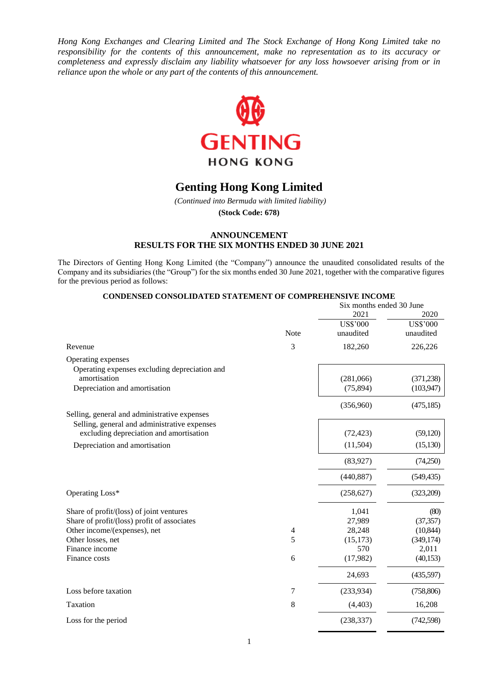*Hong Kong Exchanges and Clearing Limited and The Stock Exchange of Hong Kong Limited take no responsibility for the contents of this announcement, make no representation as to its accuracy or completeness and expressly disclaim any liability whatsoever for any loss howsoever arising from or in reliance upon the whole or any part of the contents of this announcement.*



# **Genting Hong Kong Limited**

*(Continued into Bermuda with limited liability)*

**(Stock Code: 678)**

## **ANNOUNCEMENT RESULTS FOR THE SIX MONTHS ENDED 30 JUNE 2021**

The Directors of Genting Hong Kong Limited (the "Company") announce the unaudited consolidated results of the Company and its subsidiaries (the "Group") for the six months ended 30 June 2021, together with the comparative figures for the previous period as follows:

|                                               |                          |                 | Six months ended 30 June |  |
|-----------------------------------------------|--------------------------|-----------------|--------------------------|--|
|                                               |                          | 2021            | 2020                     |  |
|                                               |                          | <b>US\$'000</b> | <b>US\$'000</b>          |  |
|                                               | <b>Note</b>              | unaudited       | unaudited                |  |
| Revenue                                       | 3                        | 182,260         | 226,226                  |  |
| Operating expenses                            |                          |                 |                          |  |
| Operating expenses excluding depreciation and |                          |                 |                          |  |
| amortisation                                  |                          | (281,066)       | (371, 238)               |  |
| Depreciation and amortisation                 |                          | (75, 894)       | (103, 947)               |  |
|                                               |                          | (356,960)       | (475, 185)               |  |
| Selling, general and administrative expenses  |                          |                 |                          |  |
| Selling, general and administrative expenses  |                          |                 |                          |  |
| excluding depreciation and amortisation       |                          | (72, 423)       | (59, 120)                |  |
| Depreciation and amortisation                 |                          | (11,504)        | (15, 130)                |  |
|                                               |                          | (83,927)        | (74,250)                 |  |
|                                               |                          | (440, 887)      | (549, 435)               |  |
| Operating Loss*                               |                          | (258, 627)      | (323,209)                |  |
| Share of profit/(loss) of joint ventures      |                          | 1,041           | (80)                     |  |
| Share of profit/(loss) profit of associates   |                          | 27,989          | (37, 357)                |  |
| Other income/(expenses), net                  | $\overline{\mathcal{A}}$ | 28,248          | (10, 844)                |  |
| Other losses, net                             | 5                        | (15, 173)       | (349, 174)               |  |
| Finance income                                |                          | 570             | 2,011                    |  |
| Finance costs                                 | 6                        | (17,982)        | (40, 153)                |  |
|                                               |                          | 24,693          | (435,597)                |  |
| Loss before taxation                          | 7                        | (233,934)       | (758, 806)               |  |
| Taxation                                      | $8\,$                    | (4, 403)        | 16,208                   |  |
| Loss for the period                           |                          | (238, 337)      | (742, 598)               |  |

**CONDENSED CONSOLIDATED STATEMENT OF COMPREHENSIVE INCOME**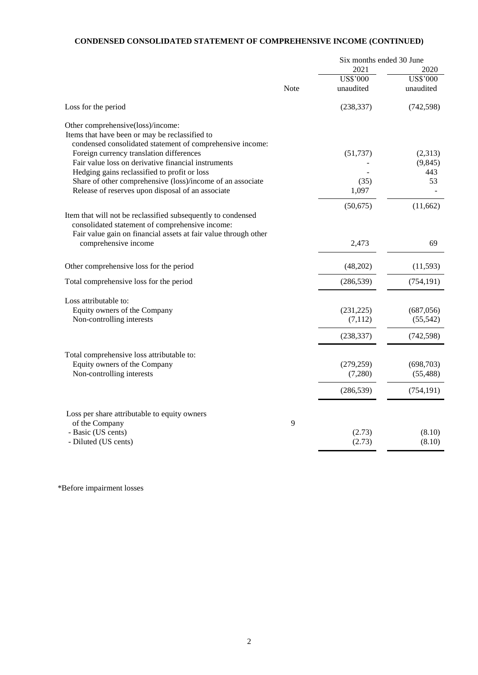# **CONDENSED CONSOLIDATED STATEMENT OF COMPREHENSIVE INCOME (CONTINUED)**

|                                                                                                                                                                                    |      | Six months ended 30 June |            |
|------------------------------------------------------------------------------------------------------------------------------------------------------------------------------------|------|--------------------------|------------|
|                                                                                                                                                                                    |      | 2021                     | 2020       |
|                                                                                                                                                                                    |      | <b>US\$'000</b>          | US\$'000   |
|                                                                                                                                                                                    | Note | unaudited                | unaudited  |
| Loss for the period                                                                                                                                                                |      | (238, 337)               | (742, 598) |
| Other comprehensive(loss)/income:<br>Items that have been or may be reclassified to<br>condensed consolidated statement of comprehensive income:                                   |      |                          |            |
| Foreign currency translation differences                                                                                                                                           |      | (51, 737)                | (2,313)    |
| Fair value loss on derivative financial instruments                                                                                                                                |      |                          | (9, 845)   |
| Hedging gains reclassified to profit or loss                                                                                                                                       |      |                          | 443        |
| Share of other comprehensive (loss)/income of an associate                                                                                                                         |      | (35)                     | 53         |
| Release of reserves upon disposal of an associate                                                                                                                                  |      | 1,097                    |            |
|                                                                                                                                                                                    |      | (50,675)                 | (11,662)   |
| Item that will not be reclassified subsequently to condensed<br>consolidated statement of comprehensive income:<br>Fair value gain on financial assets at fair value through other |      |                          |            |
| comprehensive income                                                                                                                                                               |      | 2,473                    | 69         |
| Other comprehensive loss for the period                                                                                                                                            |      | (48,202)                 | (11, 593)  |
| Total comprehensive loss for the period                                                                                                                                            |      | (286, 539)               | (754, 191) |
| Loss attributable to:                                                                                                                                                              |      |                          |            |
| Equity owners of the Company                                                                                                                                                       |      | (231, 225)               | (687, 056) |
| Non-controlling interests                                                                                                                                                          |      | (7, 112)                 | (55, 542)  |
|                                                                                                                                                                                    |      | (238, 337)               | (742, 598) |
| Total comprehensive loss attributable to:                                                                                                                                          |      |                          |            |
| Equity owners of the Company                                                                                                                                                       |      | (279, 259)               | (698,703)  |
| Non-controlling interests                                                                                                                                                          |      | (7,280)                  | (55, 488)  |
|                                                                                                                                                                                    |      | (286, 539)               | (754, 191) |
| Loss per share attributable to equity owners                                                                                                                                       |      |                          |            |
| of the Company                                                                                                                                                                     | 9    |                          |            |
| - Basic (US cents)                                                                                                                                                                 |      | (2.73)                   | (8.10)     |
| - Diluted (US cents)                                                                                                                                                               |      | (2.73)                   | (8.10)     |

\*Before impairment losses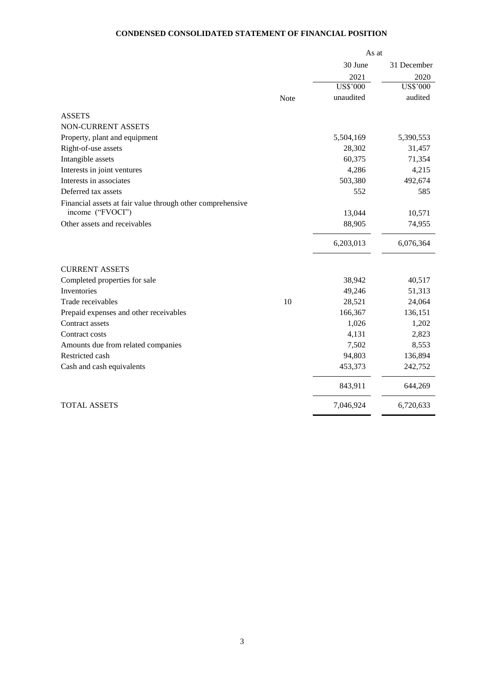# **CONDENSED CONSOLIDATED STATEMENT OF FINANCIAL POSITION**

|                                                            |      | As at           |                 |  |
|------------------------------------------------------------|------|-----------------|-----------------|--|
|                                                            |      | 30 June         | 31 December     |  |
|                                                            |      | 2021            | 2020            |  |
|                                                            |      | <b>US\$'000</b> | <b>US\$'000</b> |  |
|                                                            | Note | unaudited       | audited         |  |
| <b>ASSETS</b>                                              |      |                 |                 |  |
| NON-CURRENT ASSETS                                         |      |                 |                 |  |
| Property, plant and equipment                              |      | 5,504,169       | 5,390,553       |  |
| Right-of-use assets                                        |      | 28,302          | 31,457          |  |
| Intangible assets                                          |      | 60,375          | 71,354          |  |
| Interests in joint ventures                                |      | 4,286           | 4,215           |  |
| Interests in associates                                    |      | 503,380         | 492,674         |  |
| Deferred tax assets                                        |      | 552             | 585             |  |
| Financial assets at fair value through other comprehensive |      |                 |                 |  |
| income ("FVOCI")                                           |      | 13,044          | 10,571          |  |
| Other assets and receivables                               |      | 88,905          | 74,955          |  |
|                                                            |      | 6,203,013       | 6,076,364       |  |
| <b>CURRENT ASSETS</b>                                      |      |                 |                 |  |
| Completed properties for sale                              |      | 38,942          | 40,517          |  |
| Inventories                                                |      | 49,246          | 51,313          |  |
| Trade receivables                                          | 10   | 28,521          | 24,064          |  |
| Prepaid expenses and other receivables                     |      | 166,367         | 136,151         |  |
| Contract assets                                            |      | 1,026           | 1,202           |  |
| Contract costs                                             |      | 4,131           | 2,823           |  |
| Amounts due from related companies                         |      | 7,502           | 8,553           |  |
| Restricted cash                                            |      | 94,803          | 136,894         |  |
| Cash and cash equivalents                                  |      | 453,373         | 242,752         |  |
|                                                            |      | 843,911         | 644,269         |  |
| <b>TOTAL ASSETS</b>                                        |      | 7,046,924       | 6,720,633       |  |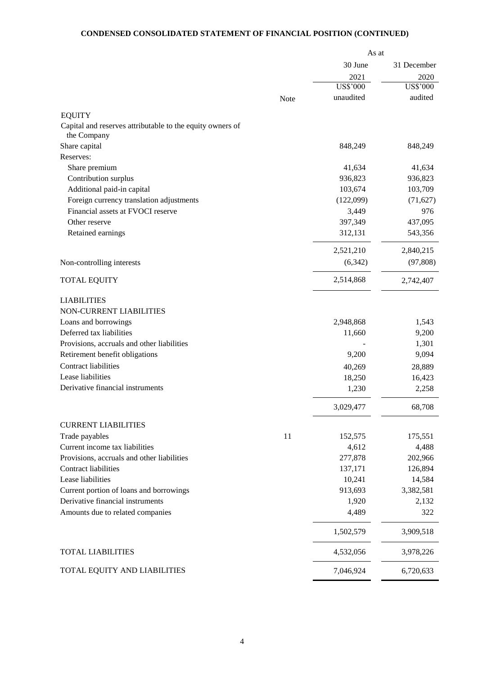# **CONDENSED CONSOLIDATED STATEMENT OF FINANCIAL POSITION (CONTINUED)**

|                                                           |      | As at           |             |
|-----------------------------------------------------------|------|-----------------|-------------|
|                                                           |      | 30 June         | 31 December |
|                                                           |      | 2021            | 2020        |
|                                                           |      | <b>US\$'000</b> | US\$'000    |
|                                                           | Note | unaudited       | audited     |
| <b>EQUITY</b>                                             |      |                 |             |
| Capital and reserves attributable to the equity owners of |      |                 |             |
| the Company                                               |      |                 |             |
| Share capital                                             |      | 848,249         | 848,249     |
| Reserves:                                                 |      |                 |             |
| Share premium                                             |      | 41,634          | 41,634      |
| Contribution surplus                                      |      | 936,823         | 936,823     |
| Additional paid-in capital                                |      | 103,674         | 103,709     |
| Foreign currency translation adjustments                  |      | (122,099)       | (71, 627)   |
| Financial assets at FVOCI reserve                         |      | 3,449           | 976         |
| Other reserve                                             |      | 397,349         | 437,095     |
| Retained earnings                                         |      | 312,131         | 543,356     |
|                                                           |      | 2,521,210       | 2,840,215   |
| Non-controlling interests                                 |      | (6,342)         | (97, 808)   |
| <b>TOTAL EQUITY</b>                                       |      | 2,514,868       | 2,742,407   |
| <b>LIABILITIES</b>                                        |      |                 |             |
| NON-CURRENT LIABILITIES                                   |      |                 |             |
| Loans and borrowings                                      |      | 2,948,868       | 1,543       |
| Deferred tax liabilities                                  |      | 11,660          | 9,200       |
| Provisions, accruals and other liabilities                |      |                 | 1,301       |
| Retirement benefit obligations                            |      | 9,200           | 9,094       |
| Contract liabilities                                      |      | 40,269          | 28,889      |
| Lease liabilities                                         |      | 18,250          | 16,423      |
| Derivative financial instruments                          |      | 1,230           | 2,258       |
|                                                           |      | 3,029,477       | 68,708      |
| <b>CURRENT LIABILITIES</b>                                |      |                 |             |
| Trade payables                                            | 11   | 152,575         | 175,551     |
| Current income tax liabilities                            |      | 4,612           | 4,488       |
| Provisions, accruals and other liabilities                |      | 277,878         | 202,966     |
| <b>Contract liabilities</b>                               |      | 137,171         | 126,894     |
| Lease liabilities                                         |      | 10,241          | 14,584      |
| Current portion of loans and borrowings                   |      | 913,693         | 3,382,581   |
| Derivative financial instruments                          |      | 1,920           | 2,132       |
| Amounts due to related companies                          |      | 4,489           | 322         |
|                                                           |      |                 |             |
|                                                           |      | 1,502,579       | 3,909,518   |
| <b>TOTAL LIABILITIES</b>                                  |      | 4,532,056       | 3,978,226   |
| TOTAL EQUITY AND LIABILITIES                              |      | 7,046,924       | 6,720,633   |

 $\overline{a}$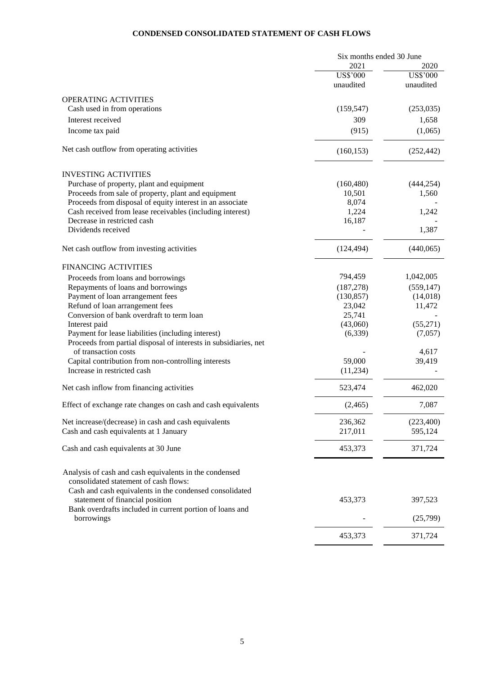# **CONDENSED CONSOLIDATED STATEMENT OF CASH FLOWS**

|                                                                  | Six months ended 30 June |                 |
|------------------------------------------------------------------|--------------------------|-----------------|
|                                                                  | 2021                     | 2020            |
|                                                                  | <b>US\$'000</b>          | <b>US\$'000</b> |
|                                                                  | unaudited                | unaudited       |
| <b>OPERATING ACTIVITIES</b>                                      |                          |                 |
| Cash used in from operations                                     | (159, 547)               | (253,035)       |
|                                                                  |                          |                 |
| Interest received                                                | 309                      | 1,658           |
| Income tax paid                                                  | (915)                    | (1,065)         |
| Net cash outflow from operating activities                       | (160, 153)               | (252, 442)      |
| <b>INVESTING ACTIVITIES</b>                                      |                          |                 |
| Purchase of property, plant and equipment                        | (160, 480)               | (444, 254)      |
| Proceeds from sale of property, plant and equipment              | 10,501                   | 1,560           |
| Proceeds from disposal of equity interest in an associate        | 8,074                    |                 |
| Cash received from lease receivables (including interest)        | 1,224                    | 1,242           |
| Decrease in restricted cash                                      | 16,187                   |                 |
| Dividends received                                               |                          | 1,387           |
| Net cash outflow from investing activities                       | (124, 494)               | (440,065)       |
| <b>FINANCING ACTIVITIES</b>                                      |                          |                 |
| Proceeds from loans and borrowings                               | 794,459                  | 1,042,005       |
| Repayments of loans and borrowings                               | (187, 278)               | (559, 147)      |
| Payment of loan arrangement fees                                 | (130, 857)               | (14,018)        |
| Refund of loan arrangement fees                                  | 23,042                   | 11,472          |
| Conversion of bank overdraft to term loan                        | 25,741                   |                 |
| Interest paid                                                    | (43,060)                 | (55,271)        |
| Payment for lease liabilities (including interest)               | (6,339)                  | (7,057)         |
| Proceeds from partial disposal of interests in subsidiaries, net |                          |                 |
| of transaction costs                                             |                          | 4,617           |
| Capital contribution from non-controlling interests              | 59,000                   | 39,419          |
| Increase in restricted cash                                      | (11, 234)                |                 |
| Net cash inflow from financing activities                        | 523,474                  | 462,020         |
| Effect of exchange rate changes on cash and cash equivalents     | (2,465)                  | 7,087           |
| Net increase/(decrease) in cash and cash equivalents             | 236,362                  | (223, 400)      |
| Cash and cash equivalents at 1 January                           | 217,011                  | 595,124         |
|                                                                  |                          |                 |
| Cash and cash equivalents at 30 June                             | 453,373                  | 371,724         |
| Analysis of cash and cash equivalents in the condensed           |                          |                 |
| consolidated statement of cash flows:                            |                          |                 |
| Cash and cash equivalents in the condensed consolidated          |                          |                 |
| statement of financial position                                  | 453,373                  | 397,523         |
| Bank overdrafts included in current portion of loans and         |                          |                 |
| borrowings                                                       |                          | (25,799)        |
|                                                                  | 453,373                  | 371,724         |
|                                                                  |                          |                 |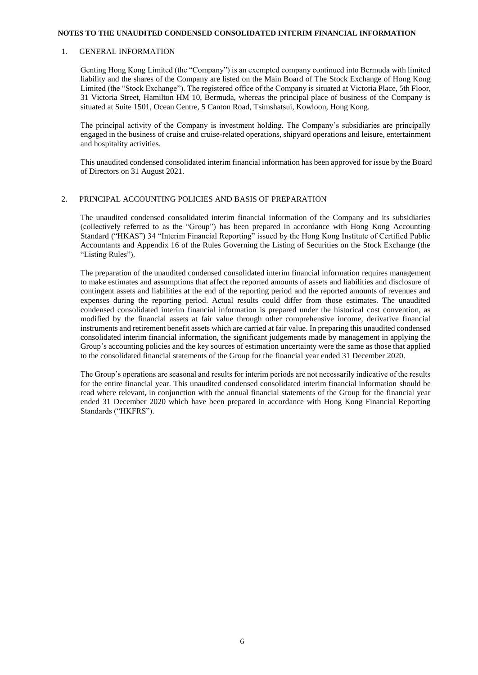#### **NOTES TO THE UNAUDITED CONDENSED CONSOLIDATED INTERIM FINANCIAL INFORMATION**

#### 1. GENERAL INFORMATION

Genting Hong Kong Limited (the "Company") is an exempted company continued into Bermuda with limited liability and the shares of the Company are listed on the Main Board of The Stock Exchange of Hong Kong Limited (the "Stock Exchange"). The registered office of the Company is situated at Victoria Place, 5th Floor, 31 Victoria Street, Hamilton HM 10, Bermuda, whereas the principal place of business of the Company is situated at Suite 1501, Ocean Centre, 5 Canton Road, Tsimshatsui, Kowloon, Hong Kong.

The principal activity of the Company is investment holding. The Company's subsidiaries are principally engaged in the business of cruise and cruise-related operations, shipyard operations and leisure, entertainment and hospitality activities.

This unaudited condensed consolidated interim financial information has been approved for issue by the Board of Directors on 31 August 2021.

## 2. PRINCIPAL ACCOUNTING POLICIES AND BASIS OF PREPARATION

The unaudited condensed consolidated interim financial information of the Company and its subsidiaries (collectively referred to as the "Group") has been prepared in accordance with Hong Kong Accounting Standard ("HKAS") 34 "Interim Financial Reporting" issued by the Hong Kong Institute of Certified Public Accountants and Appendix 16 of the Rules Governing the Listing of Securities on the Stock Exchange (the "Listing Rules").

The preparation of the unaudited condensed consolidated interim financial information requires management to make estimates and assumptions that affect the reported amounts of assets and liabilities and disclosure of contingent assets and liabilities at the end of the reporting period and the reported amounts of revenues and expenses during the reporting period. Actual results could differ from those estimates. The unaudited condensed consolidated interim financial information is prepared under the historical cost convention, as modified by the financial assets at fair value through other comprehensive income, derivative financial instruments and retirement benefit assets which are carried at fair value. In preparing this unaudited condensed consolidated interim financial information, the significant judgements made by management in applying the Group's accounting policies and the key sources of estimation uncertainty were the same as those that applied to the consolidated financial statements of the Group for the financial year ended 31 December 2020.

The Group's operations are seasonal and results for interim periods are not necessarily indicative of the results for the entire financial year. This unaudited condensed consolidated interim financial information should be read where relevant, in conjunction with the annual financial statements of the Group for the financial year ended 31 December 2020 which have been prepared in accordance with Hong Kong Financial Reporting Standards ("HKFRS").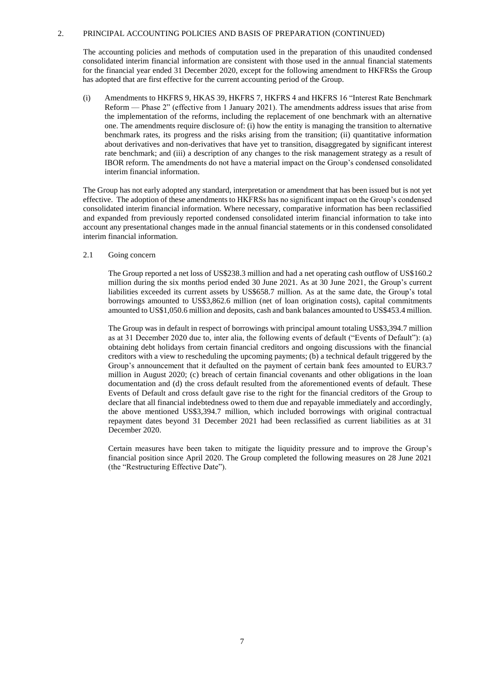The accounting policies and methods of computation used in the preparation of this unaudited condensed consolidated interim financial information are consistent with those used in the annual financial statements for the financial year ended 31 December 2020, except for the following amendment to HKFRSs the Group has adopted that are first effective for the current accounting period of the Group.

(i) Amendments to HKFRS 9, HKAS 39, HKFRS 7, HKFRS 4 and HKFRS 16 "Interest Rate Benchmark Reform — Phase 2" (effective from 1 January 2021). The amendments address issues that arise from the implementation of the reforms, including the replacement of one benchmark with an alternative one. The amendments require disclosure of: (i) how the entity is managing the transition to alternative benchmark rates, its progress and the risks arising from the transition; (ii) quantitative information about derivatives and non-derivatives that have yet to transition, disaggregated by significant interest rate benchmark; and (iii) a description of any changes to the risk management strategy as a result of IBOR reform. The amendments do not have a material impact on the Group's condensed consolidated interim financial information.

The Group has not early adopted any standard, interpretation or amendment that has been issued but is not yet effective. The adoption of these amendments to HKFRSs has no significant impact on the Group's condensed consolidated interim financial information. Where necessary, comparative information has been reclassified and expanded from previously reported condensed consolidated interim financial information to take into account any presentational changes made in the annual financial statements or in this condensed consolidated interim financial information.

2.1 Going concern

The Group reported a net loss of US\$238.3 million and had a net operating cash outflow of US\$160.2 million during the six months period ended 30 June 2021. As at 30 June 2021, the Group's current liabilities exceeded its current assets by US\$658.7 million. As at the same date, the Group's total borrowings amounted to US\$3,862.6 million (net of loan origination costs), capital commitments amounted to US\$1,050.6 million and deposits, cash and bank balances amounted to US\$453.4 million.

The Group was in default in respect of borrowings with principal amount totaling US\$3,394.7 million as at 31 December 2020 due to, inter alia, the following events of default ("Events of Default"): (a) obtaining debt holidays from certain financial creditors and ongoing discussions with the financial creditors with a view to rescheduling the upcoming payments; (b) a technical default triggered by the Group's announcement that it defaulted on the payment of certain bank fees amounted to EUR3.7 million in August 2020; (c) breach of certain financial covenants and other obligations in the loan documentation and (d) the cross default resulted from the aforementioned events of default. These Events of Default and cross default gave rise to the right for the financial creditors of the Group to declare that all financial indebtedness owed to them due and repayable immediately and accordingly, the above mentioned US\$3,394.7 million, which included borrowings with original contractual repayment dates beyond 31 December 2021 had been reclassified as current liabilities as at 31 December 2020.

Certain measures have been taken to mitigate the liquidity pressure and to improve the Group's financial position since April 2020. The Group completed the following measures on 28 June 2021 (the "Restructuring Effective Date").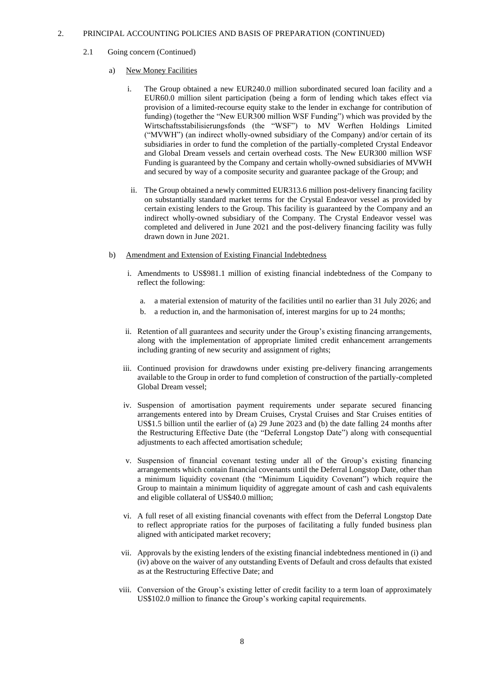- 2.1 Going concern (Continued)
	- a) New Money Facilities
		- i. The Group obtained a new EUR240.0 million subordinated secured loan facility and a EUR60.0 million silent participation (being a form of lending which takes effect via provision of a limited-recourse equity stake to the lender in exchange for contribution of funding) (together the "New EUR300 million WSF Funding") which was provided by the Wirtschaftsstabilisierungsfonds (the "WSF") to MV Werften Holdings Limited ("MVWH") (an indirect wholly-owned subsidiary of the Company) and/or certain of its subsidiaries in order to fund the completion of the partially-completed Crystal Endeavor and Global Dream vessels and certain overhead costs. The New EUR300 million WSF Funding is guaranteed by the Company and certain wholly-owned subsidiaries of MVWH and secured by way of a composite security and guarantee package of the Group; and
		- ii. The Group obtained a newly committed EUR313.6 million post-delivery financing facility on substantially standard market terms for the Crystal Endeavor vessel as provided by certain existing lenders to the Group. This facility is guaranteed by the Company and an indirect wholly-owned subsidiary of the Company. The Crystal Endeavor vessel was completed and delivered in June 2021 and the post-delivery financing facility was fully drawn down in June 2021.
	- b) Amendment and Extension of Existing Financial Indebtedness
		- i. Amendments to US\$981.1 million of existing financial indebtedness of the Company to reflect the following:
			- a. a material extension of maturity of the facilities until no earlier than 31 July 2026; and
			- b. a reduction in, and the harmonisation of, interest margins for up to 24 months;
		- ii. Retention of all guarantees and security under the Group's existing financing arrangements, along with the implementation of appropriate limited credit enhancement arrangements including granting of new security and assignment of rights;
		- iii. Continued provision for drawdowns under existing pre-delivery financing arrangements available to the Group in order to fund completion of construction of the partially-completed Global Dream vessel;
		- iv. Suspension of amortisation payment requirements under separate secured financing arrangements entered into by Dream Cruises, Crystal Cruises and Star Cruises entities of US\$1.5 billion until the earlier of (a) 29 June 2023 and (b) the date falling 24 months after the Restructuring Effective Date (the "Deferral Longstop Date") along with consequential adjustments to each affected amortisation schedule;
		- v. Suspension of financial covenant testing under all of the Group's existing financing arrangements which contain financial covenants until the Deferral Longstop Date, other than a minimum liquidity covenant (the "Minimum Liquidity Covenant") which require the Group to maintain a minimum liquidity of aggregate amount of cash and cash equivalents and eligible collateral of US\$40.0 million;
		- vi. A full reset of all existing financial covenants with effect from the Deferral Longstop Date to reflect appropriate ratios for the purposes of facilitating a fully funded business plan aligned with anticipated market recovery;
		- vii. Approvals by the existing lenders of the existing financial indebtedness mentioned in (i) and (iv) above on the waiver of any outstanding Events of Default and cross defaults that existed as at the Restructuring Effective Date; and
		- viii. Conversion of the Group's existing letter of credit facility to a term loan of approximately US\$102.0 million to finance the Group's working capital requirements.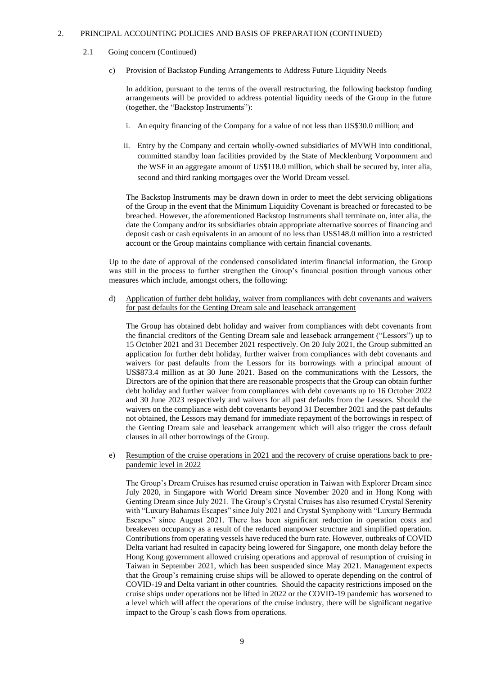- 2.1 Going concern (Continued)
	- c) Provision of Backstop Funding Arrangements to Address Future Liquidity Needs

In addition, pursuant to the terms of the overall restructuring, the following backstop funding arrangements will be provided to address potential liquidity needs of the Group in the future (together, the "Backstop Instruments"):

- i. An equity financing of the Company for a value of not less than US\$30.0 million; and
- ii. Entry by the Company and certain wholly-owned subsidiaries of MVWH into conditional, committed standby loan facilities provided by the State of Mecklenburg Vorpommern and the WSF in an aggregate amount of US\$118.0 million, which shall be secured by, inter alia, second and third ranking mortgages over the World Dream vessel.

The Backstop Instruments may be drawn down in order to meet the debt servicing obligations of the Group in the event that the Minimum Liquidity Covenant is breached or forecasted to be breached. However, the aforementioned Backstop Instruments shall terminate on, inter alia, the date the Company and/or its subsidiaries obtain appropriate alternative sources of financing and deposit cash or cash equivalents in an amount of no less than US\$148.0 million into a restricted account or the Group maintains compliance with certain financial covenants.

Up to the date of approval of the condensed consolidated interim financial information, the Group was still in the process to further strengthen the Group's financial position through various other measures which include, amongst others, the following:

d) Application of further debt holiday, waiver from compliances with debt covenants and waivers for past defaults for the Genting Dream sale and leaseback arrangement

The Group has obtained debt holiday and waiver from compliances with debt covenants from the financial creditors of the Genting Dream sale and leaseback arrangement ("Lessors") up to 15 October 2021 and 31 December 2021 respectively. On 20 July 2021, the Group submitted an application for further debt holiday, further waiver from compliances with debt covenants and waivers for past defaults from the Lessors for its borrowings with a principal amount of US\$873.4 million as at 30 June 2021. Based on the communications with the Lessors, the Directors are of the opinion that there are reasonable prospects that the Group can obtain further debt holiday and further waiver from compliances with debt covenants up to 16 October 2022 and 30 June 2023 respectively and waivers for all past defaults from the Lessors. Should the waivers on the compliance with debt covenants beyond 31 December 2021 and the past defaults not obtained, the Lessors may demand for immediate repayment of the borrowings in respect of the Genting Dream sale and leaseback arrangement which will also trigger the cross default clauses in all other borrowings of the Group.

e) Resumption of the cruise operations in 2021 and the recovery of cruise operations back to prepandemic level in 2022

The Group's Dream Cruises has resumed cruise operation in Taiwan with Explorer Dream since July 2020, in Singapore with World Dream since November 2020 and in Hong Kong with Genting Dream since July 2021. The Group's Crystal Cruises has also resumed Crystal Serenity with "Luxury Bahamas Escapes" since July 2021 and Crystal Symphony with "Luxury Bermuda Escapes" since August 2021. There has been significant reduction in operation costs and breakeven occupancy as a result of the reduced manpower structure and simplified operation. Contributions from operating vessels have reduced the burn rate. However, outbreaks of COVID Delta variant had resulted in capacity being lowered for Singapore, one month delay before the Hong Kong government allowed cruising operations and approval of resumption of cruising in Taiwan in September 2021, which has been suspended since May 2021. Management expects that the Group's remaining cruise ships will be allowed to operate depending on the control of COVID-19 and Delta variant in other countries. Should the capacity restrictions imposed on the cruise ships under operations not be lifted in 2022 or the COVID-19 pandemic has worsened to a level which will affect the operations of the cruise industry, there will be significant negative impact to the Group's cash flows from operations.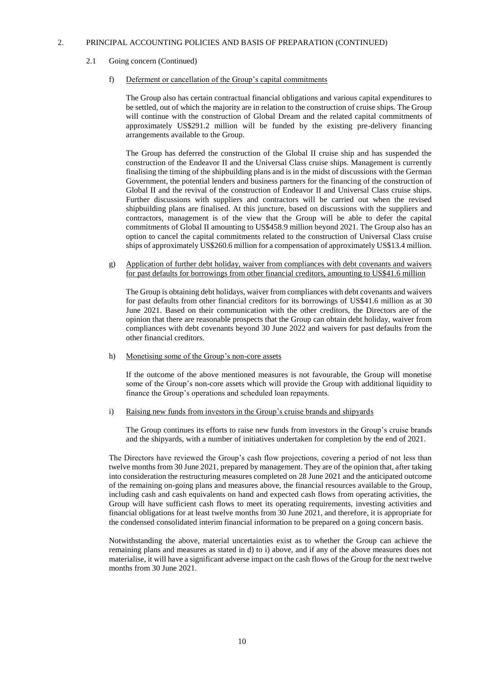### 2.1 Going concern (Continued)

#### f) Deferment or cancellation of the Group's capital commitments

The Group also has certain contractual financial obligations and various capital expenditures to be settled, out of which the majority are in relation to the construction of cruise ships. The Group will continue with the construction of Global Dream and the related capital commitments of approximately US\$291.2 million will be funded by the existing pre-delivery financing arrangements available to the Group.

The Group has deferred the construction of the Global II cruise ship and has suspended the construction of the Endeavor II and the Universal Class cruise ships. Management is currently finalising the timing of the shipbuilding plans and is in the midst of discussions with the German Government, the potential lenders and business partners for the financing of the construction of Global II and the revival of the construction of Endeavor II and Universal Class cruise ships. Further discussions with suppliers and contractors will be carried out when the revised shipbuilding plans are finalised. At this juncture, based on discussions with the suppliers and contractors, management is of the view that the Group will be able to defer the capital commitments of Global II amounting to US\$458.9 million beyond 2021. The Group also has an option to cancel the capital commitments related to the construction of Universal Class cruise ships of approximately US\$260.6 million for a compensation of approximately US\$13.4 million.

g) Application of further debt holiday, waiver from compliances with debt covenants and waivers for past defaults for borrowings from other financial creditors, amounting to US\$41.6 million

The Group is obtaining debt holidays, waiver from compliances with debt covenants and waivers for past defaults from other financial creditors for its borrowings of US\$41.6 million as at 30 June 2021. Based on their communication with the other creditors, the Directors are of the opinion that there are reasonable prospects that the Group can obtain debt holiday, waiver from compliances with debt covenants beyond 30 June 2022 and waivers for past defaults from the other financial creditors.

## h) Monetising some of the Group's non-core assets

If the outcome of the above mentioned measures is not favourable, the Group will monetise some of the Group's non-core assets which will provide the Group with additional liquidity to finance the Group's operations and scheduled loan repayments.

#### i) Raising new funds from investors in the Group's cruise brands and shipyards

The Group continues its efforts to raise new funds from investors in the Group's cruise brands and the shipyards, with a number of initiatives undertaken for completion by the end of 2021.

The Directors have reviewed the Group's cash flow projections, covering a period of not less than twelve months from 30 June 2021, prepared by management. They are of the opinion that, after taking into consideration the restructuring measures completed on 28 June 2021 and the anticipated outcome of the remaining on-going plans and measures above, the financial resources available to the Group, including cash and cash equivalents on hand and expected cash flows from operating activities, the Group will have sufficient cash flows to meet its operating requirements, investing activities and financial obligations for at least twelve months from 30 June 2021, and therefore, it is appropriate for the condensed consolidated interim financial information to be prepared on a going concern basis.

Notwithstanding the above, material uncertainties exist as to whether the Group can achieve the remaining plans and measures as stated in d) to i) above, and if any of the above measures does not materialise, it will have a significant adverse impact on the cash flows of the Group for the next twelve months from 30 June 2021.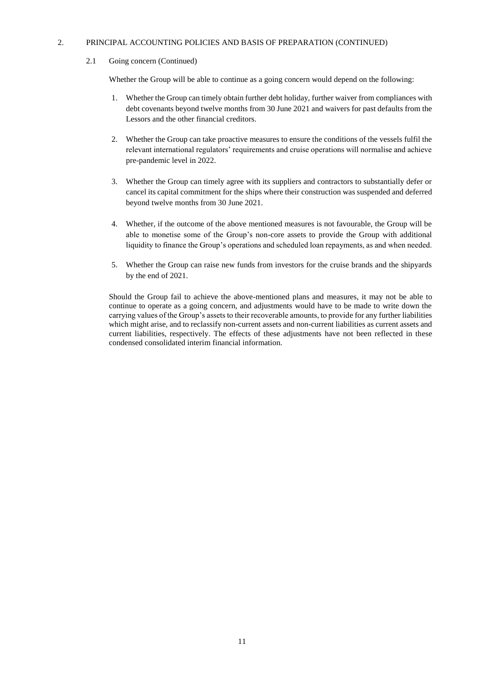## 2.1 Going concern (Continued)

Whether the Group will be able to continue as a going concern would depend on the following:

- 1. Whether the Group can timely obtain further debt holiday, further waiver from compliances with debt covenants beyond twelve months from 30 June 2021 and waivers for past defaults from the Lessors and the other financial creditors.
- 2. Whether the Group can take proactive measures to ensure the conditions of the vessels fulfil the relevant international regulators' requirements and cruise operations will normalise and achieve pre-pandemic level in 2022.
- 3. Whether the Group can timely agree with its suppliers and contractors to substantially defer or cancel its capital commitment for the ships where their construction was suspended and deferred beyond twelve months from 30 June 2021.
- 4. Whether, if the outcome of the above mentioned measures is not favourable, the Group will be able to monetise some of the Group's non-core assets to provide the Group with additional liquidity to finance the Group's operations and scheduled loan repayments, as and when needed.
- 5. Whether the Group can raise new funds from investors for the cruise brands and the shipyards by the end of 2021.

Should the Group fail to achieve the above-mentioned plans and measures, it may not be able to continue to operate as a going concern, and adjustments would have to be made to write down the carrying values of the Group's assets to their recoverable amounts, to provide for any further liabilities which might arise, and to reclassify non-current assets and non-current liabilities as current assets and current liabilities, respectively. The effects of these adjustments have not been reflected in these condensed consolidated interim financial information.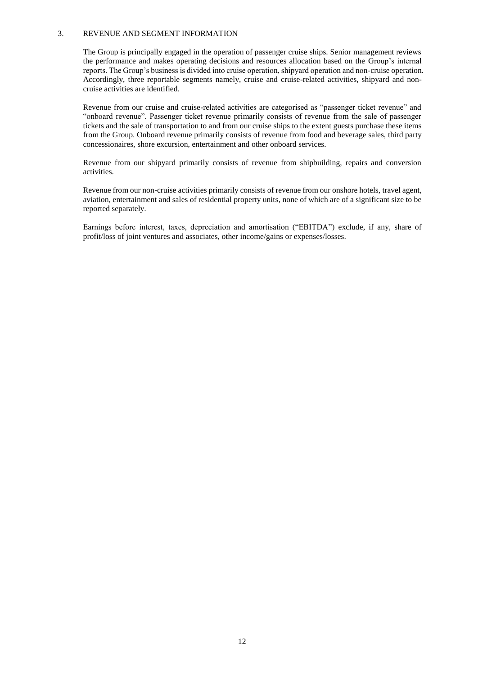#### 3. REVENUE AND SEGMENT INFORMATION

The Group is principally engaged in the operation of passenger cruise ships. Senior management reviews the performance and makes operating decisions and resources allocation based on the Group's internal reports. The Group's business is divided into cruise operation, shipyard operation and non-cruise operation. Accordingly, three reportable segments namely, cruise and cruise-related activities, shipyard and noncruise activities are identified.

Revenue from our cruise and cruise-related activities are categorised as "passenger ticket revenue" and "onboard revenue". Passenger ticket revenue primarily consists of revenue from the sale of passenger tickets and the sale of transportation to and from our cruise ships to the extent guests purchase these items from the Group. Onboard revenue primarily consists of revenue from food and beverage sales, third party concessionaires, shore excursion, entertainment and other onboard services.

Revenue from our shipyard primarily consists of revenue from shipbuilding, repairs and conversion activities.

Revenue from our non-cruise activities primarily consists of revenue from our onshore hotels, travel agent, aviation, entertainment and sales of residential property units, none of which are of a significant size to be reported separately.

Earnings before interest, taxes, depreciation and amortisation ("EBITDA") exclude, if any, share of profit/loss of joint ventures and associates, other income/gains or expenses/losses.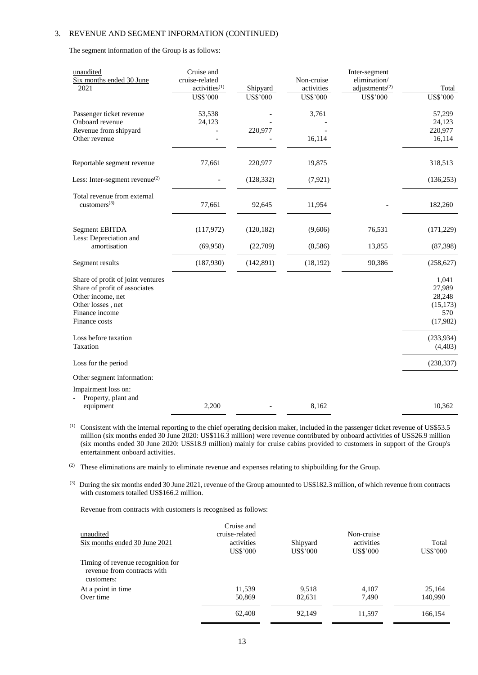The segment information of the Group is as follows:

| unaudited<br>Six months ended 30 June<br>2021                                                                                                   | Cruise and<br>cruise-related<br>activities <sup>(1)</sup><br><b>US\$'000</b> | Shipyard<br><b>US\$'000</b> | Non-cruise<br>activities<br><b>US\$'000</b> | Inter-segment<br>elimination/<br>adjustments <sup>(2)</sup><br><b>US\$'000</b> | Total<br><b>US\$'000</b>                                  |
|-------------------------------------------------------------------------------------------------------------------------------------------------|------------------------------------------------------------------------------|-----------------------------|---------------------------------------------|--------------------------------------------------------------------------------|-----------------------------------------------------------|
| Passenger ticket revenue<br>Onboard revenue<br>Revenue from shipyard                                                                            | 53,538<br>24,123                                                             | 220,977                     | 3,761                                       |                                                                                | 57,299<br>24,123<br>220,977                               |
| Other revenue                                                                                                                                   |                                                                              |                             | 16,114                                      |                                                                                | 16,114                                                    |
| Reportable segment revenue                                                                                                                      | 77,661                                                                       | 220,977                     | 19,875                                      |                                                                                | 318,513                                                   |
| Less: Inter-segment revenue $^{(2)}$                                                                                                            |                                                                              | (128, 332)                  | (7, 921)                                    |                                                                                | (136, 253)                                                |
| Total revenue from external<br>$cuts$ tomers <sup>(3)</sup>                                                                                     | 77,661                                                                       | 92,645                      | 11,954                                      |                                                                                | 182,260                                                   |
| <b>Segment EBITDA</b><br>Less: Depreciation and                                                                                                 | (117,972)                                                                    | (120, 182)                  | (9,606)                                     | 76,531                                                                         | (171, 229)                                                |
| amortisation                                                                                                                                    | (69,958)                                                                     | (22,709)                    | (8,586)                                     | 13,855                                                                         | (87, 398)                                                 |
| Segment results                                                                                                                                 | (187,930)                                                                    | (142, 891)                  | (18, 192)                                   | 90,386                                                                         | (258, 627)                                                |
| Share of profit of joint ventures<br>Share of profit of associates<br>Other income, net<br>Other losses, net<br>Finance income<br>Finance costs |                                                                              |                             |                                             |                                                                                | 1,041<br>27,989<br>28,248<br>(15, 173)<br>570<br>(17,982) |
| Loss before taxation<br>Taxation                                                                                                                |                                                                              |                             |                                             |                                                                                | (233, 934)<br>(4, 403)                                    |
| Loss for the period                                                                                                                             |                                                                              |                             |                                             |                                                                                | (238, 337)                                                |
| Other segment information:                                                                                                                      |                                                                              |                             |                                             |                                                                                |                                                           |
| Impairment loss on:<br>Property, plant and<br>equipment                                                                                         | 2,200                                                                        |                             | 8,162                                       |                                                                                | 10,362                                                    |

(1) Consistent with the internal reporting to the chief operating decision maker, included in the passenger ticket revenue of US\$53.5 million (six months ended 30 June 2020: US\$116.3 million) were revenue contributed by onboard activities of US\$26.9 million (six months ended 30 June 2020: US\$18.9 million) mainly for cruise cabins provided to customers in support of the Group's entertainment onboard activities.

(2) These eliminations are mainly to eliminate revenue and expenses relating to shipbuilding for the Group.

<sup>(3)</sup> During the six months ended 30 June 2021, revenue of the Group amounted to US\$182.3 million, of which revenue from contracts with customers totalled US\$166.2 million.

Revenue from contracts with customers is recognised as follows:

| unaudited<br>Six months ended 30 June 2021                                     | Cruise and<br>cruise-related<br>activities<br>US\$'000 | Shipyard<br>US\$'000 | Non-cruise<br>activities<br>US\$'000 | Total<br>US\$'000 |
|--------------------------------------------------------------------------------|--------------------------------------------------------|----------------------|--------------------------------------|-------------------|
| Timing of revenue recognition for<br>revenue from contracts with<br>customers: |                                                        |                      |                                      |                   |
| At a point in time                                                             | 11,539                                                 | 9,518                | 4,107                                | 25,164            |
| Over time                                                                      | 50,869                                                 | 82,631               | 7,490                                | 140,990           |
|                                                                                | 62,408                                                 | 92,149               | 11,597                               | 166,154           |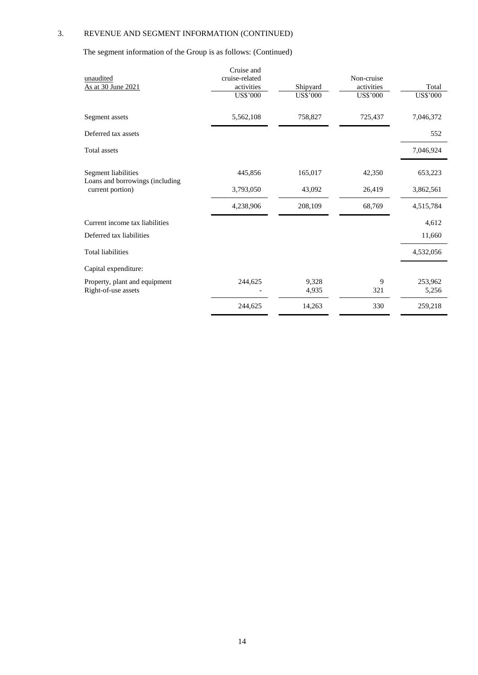The segment information of the Group is as follows: (Continued)

|                                                        | Cruise and<br>cruise-related |                | Non-cruise |                  |
|--------------------------------------------------------|------------------------------|----------------|------------|------------------|
| unaudited<br>As at 30 June 2021                        | activities                   | Shipyard       | activities | Total            |
|                                                        | US\$'000                     | US\$'000       | US\$'000   | US\$'000         |
| Segment assets                                         | 5,562,108                    | 758,827        | 725,437    | 7,046,372        |
| Deferred tax assets                                    |                              |                |            | 552              |
| <b>Total</b> assets                                    |                              |                |            | 7,046,924        |
| Segment liabilities<br>Loans and borrowings (including | 445,856                      | 165,017        | 42,350     | 653,223          |
| current portion)                                       | 3,793,050                    | 43,092         | 26,419     | 3,862,561        |
|                                                        | 4,238,906                    | 208,109        | 68,769     | 4,515,784        |
| Current income tax liabilities                         |                              |                |            | 4,612            |
| Deferred tax liabilities                               |                              |                |            | 11,660           |
| <b>Total liabilities</b>                               |                              |                |            | 4,532,056        |
| Capital expenditure:                                   |                              |                |            |                  |
| Property, plant and equipment<br>Right-of-use assets   | 244,625                      | 9,328<br>4,935 | 9<br>321   | 253,962<br>5,256 |
|                                                        | 244,625                      | 14,263         | 330        | 259,218          |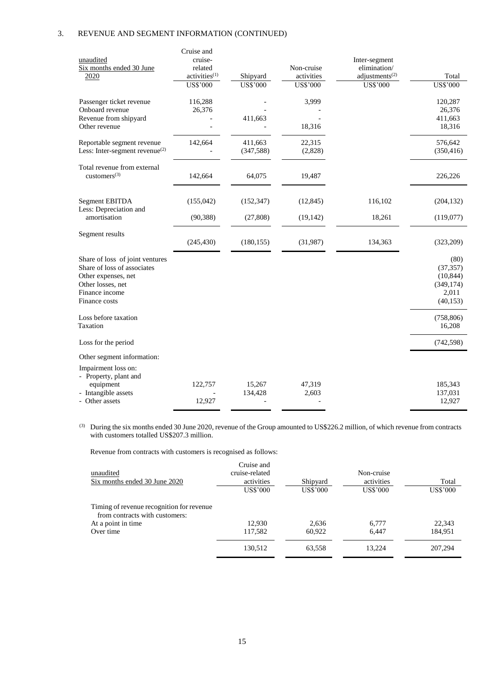| unaudited<br>Six months ended 30 June<br>2020                                                                                                 | Cruise and<br>cruise-<br>related<br>activities <sup>(1)</sup> | Shipyard              | Non-cruise<br>activities | Inter-segment<br>elimination/<br>adjustments <sup>(2)</sup> | Total                                                              |
|-----------------------------------------------------------------------------------------------------------------------------------------------|---------------------------------------------------------------|-----------------------|--------------------------|-------------------------------------------------------------|--------------------------------------------------------------------|
|                                                                                                                                               | <b>US\$'000</b>                                               | US\$'000              | US\$'000                 | US\$'000                                                    | <b>US\$'000</b>                                                    |
| Passenger ticket revenue<br>Onboard revenue<br>Revenue from shipyard<br>Other revenue                                                         | 116,288<br>26,376                                             | 411,663               | 3,999<br>18,316          |                                                             | 120,287<br>26,376<br>411,663<br>18,316                             |
| Reportable segment revenue<br>Less: Inter-segment revenue $^{(2)}$                                                                            | 142,664                                                       | 411,663<br>(347, 588) | 22,315<br>(2,828)        |                                                             | 576,642<br>(350, 416)                                              |
| Total revenue from external<br>customers $(3)$                                                                                                | 142,664                                                       | 64,075                | 19,487                   |                                                             | 226,226                                                            |
| Segment EBITDA<br>Less: Depreciation and                                                                                                      | (155,042)                                                     | (152, 347)            | (12, 845)                | 116,102                                                     | (204, 132)                                                         |
| amortisation                                                                                                                                  | (90, 388)                                                     | (27, 808)             | (19, 142)                | 18,261                                                      | (119,077)                                                          |
| Segment results                                                                                                                               | (245, 430)                                                    | (180, 155)            | (31,987)                 | 134,363                                                     | (323,209)                                                          |
| Share of loss of joint ventures<br>Share of loss of associates<br>Other expenses, net<br>Other losses, net<br>Finance income<br>Finance costs |                                                               |                       |                          |                                                             | (80)<br>(37, 357)<br>(10, 844)<br>(349, 174)<br>2,011<br>(40, 153) |
| Loss before taxation<br>Taxation                                                                                                              |                                                               |                       |                          |                                                             | (758, 806)<br>16,208                                               |
| Loss for the period                                                                                                                           |                                                               |                       |                          |                                                             | (742, 598)                                                         |
| Other segment information:<br>Impairment loss on:<br>- Property, plant and                                                                    |                                                               |                       |                          |                                                             |                                                                    |
| equipment<br>- Intangible assets<br>- Other assets                                                                                            | 122,757<br>12,927                                             | 15,267<br>134,428     | 47,319<br>2,603          |                                                             | 185,343<br>137,031<br>12,927                                       |

<sup>(3)</sup> During the six months ended 30 June 2020, revenue of the Group amounted to US\$226.2 million, of which revenue from contracts with customers totalled US\$207.3 million.

Revenue from contracts with customers is recognised as follows:

| unaudited                                                                   | Cruise and<br>cruise-related |                      | Non-cruise             |                   |
|-----------------------------------------------------------------------------|------------------------------|----------------------|------------------------|-------------------|
| Six months ended 30 June 2020                                               | activities<br>US\$'000       | Shipyard<br>US\$'000 | activities<br>US\$'000 | Total<br>US\$'000 |
| Timing of revenue recognition for revenue<br>from contracts with customers: |                              |                      |                        |                   |
| At a point in time                                                          | 12.930                       | 2,636                | 6.777                  | 22,343            |
| Over time                                                                   | 117,582                      | 60.922               | 6.447                  | 184.951           |
|                                                                             | 130,512                      | 63,558               | 13.224                 | 207,294           |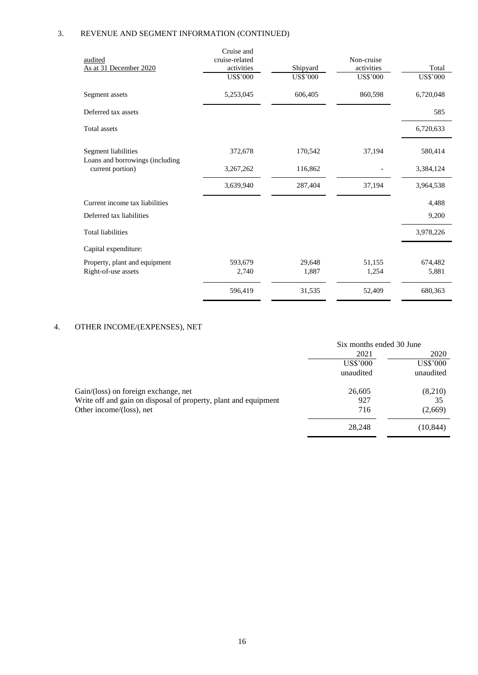| audited<br>As at 31 December 2020                      | Cruise and<br>cruise-related<br>activities<br>US\$'000 | Shipyard<br><b>US\$'000</b> | Non-cruise<br>activities<br>US\$'000 | Total<br>US\$'000 |
|--------------------------------------------------------|--------------------------------------------------------|-----------------------------|--------------------------------------|-------------------|
| Segment assets                                         | 5,253,045                                              | 606,405                     | 860,598                              | 6,720,048         |
| Deferred tax assets                                    |                                                        |                             |                                      | 585               |
| Total assets                                           |                                                        |                             |                                      | 6,720,633         |
| Segment liabilities<br>Loans and borrowings (including | 372,678                                                | 170,542                     | 37,194                               | 580,414           |
| current portion)                                       | 3,267,262                                              | 116,862                     |                                      | 3,384,124         |
|                                                        | 3,639,940                                              | 287,404                     | 37,194                               | 3,964,538         |
| Current income tax liabilities                         |                                                        |                             |                                      | 4,488             |
| Deferred tax liabilities                               |                                                        |                             |                                      | 9,200             |
| <b>Total liabilities</b>                               |                                                        |                             |                                      | 3,978,226         |
| Capital expenditure:                                   |                                                        |                             |                                      |                   |
| Property, plant and equipment<br>Right-of-use assets   | 593,679<br>2,740                                       | 29,648<br>1,887             | 51,155<br>1,254                      | 674,482<br>5,881  |
|                                                        | 596,419                                                | 31,535                      | 52,409                               | 680,363           |

## 4. OTHER INCOME/(EXPENSES), NET

|                                                                 | Six months ended 30 June |                 |  |
|-----------------------------------------------------------------|--------------------------|-----------------|--|
|                                                                 | 2021                     | 2020            |  |
|                                                                 | US\$'000                 | <b>US\$'000</b> |  |
|                                                                 | unaudited                | unaudited       |  |
| Gain/(loss) on foreign exchange, net                            | 26,605                   | (8,210)         |  |
| Write off and gain on disposal of property, plant and equipment | 927                      | 35              |  |
| Other income/(loss), net                                        | 716                      | (2,669)         |  |
|                                                                 | 28,248                   | (10, 844)       |  |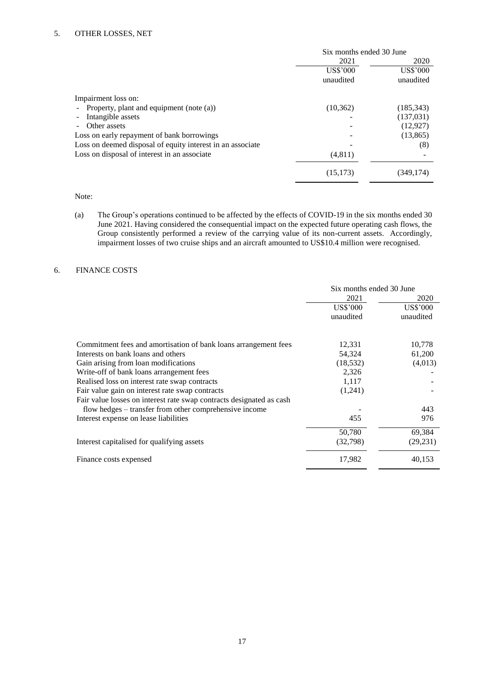|                                                            | Six months ended 30 June |            |
|------------------------------------------------------------|--------------------------|------------|
|                                                            | 2021                     | 2020       |
|                                                            | US\$'000                 | US\$'000   |
|                                                            | unaudited                | unaudited  |
| Impairment loss on:                                        |                          |            |
| Property, plant and equipment (note (a))<br>$\blacksquare$ | (10, 362)                | (185, 343) |
| Intangible assets<br>$\overline{a}$                        |                          | (137,031)  |
| Other assets<br>$\blacksquare$                             |                          | (12, 927)  |
| Loss on early repayment of bank borrowings                 |                          | (13, 865)  |
| Loss on deemed disposal of equity interest in an associate |                          | (8)        |
| Loss on disposal of interest in an associate               | (4,811)                  |            |
|                                                            | (15, 173)                | (349,174)  |

Note:

(a) The Group's operations continued to be affected by the effects of COVID-19 in the six months ended 30 June 2021. Having considered the consequential impact on the expected future operating cash flows, the Group consistently performed a review of the carrying value of its non-current assets. Accordingly, impairment losses of two cruise ships and an aircraft amounted to US\$10.4 million were recognised.

## 6. FINANCE COSTS

|                                                                      | Six months ended 30 June |           |
|----------------------------------------------------------------------|--------------------------|-----------|
|                                                                      | 2021                     | 2020      |
|                                                                      | US\$'000                 | US\$'000  |
|                                                                      | unaudited                | unaudited |
| Commitment fees and amortisation of bank loans arrangement fees      | 12,331                   | 10,778    |
| Interests on bank loans and others                                   | 54,324                   | 61,200    |
| Gain arising from loan modifications                                 | (18, 532)                | (4,013)   |
| Write-off of bank loans arrangement fees                             | 2,326                    |           |
| Realised loss on interest rate swap contracts                        | 1,117                    |           |
| Fair value gain on interest rate swap contracts                      | (1,241)                  |           |
| Fair value losses on interest rate swap contracts designated as cash |                          |           |
| flow hedges – transfer from other comprehensive income               |                          | 443       |
| Interest expense on lease liabilities                                | 455                      | 976       |
|                                                                      | 50,780                   | 69,384    |
| Interest capitalised for qualifying assets                           | (32, 798)                | (29, 231) |
| Finance costs expensed                                               | 17,982                   | 40,153    |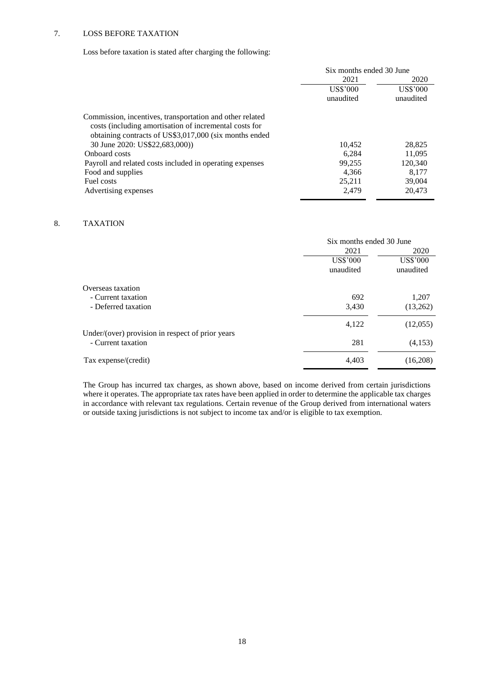## 7. LOSS BEFORE TAXATION

Loss before taxation is stated after charging the following:

|                                                          | Six months ended 30 June |           |
|----------------------------------------------------------|--------------------------|-----------|
|                                                          | 2021                     | 2020      |
|                                                          | US\$'000                 | US\$'000  |
|                                                          | unaudited                | unaudited |
| Commission, incentives, transportation and other related |                          |           |
| costs (including amortisation of incremental costs for   |                          |           |
| obtaining contracts of US\$3,017,000 (six months ended   |                          |           |
| 30 June 2020: US\$22,683,000)                            | 10.452                   | 28,825    |
| Onboard costs                                            | 6.284                    | 11.095    |
| Payroll and related costs included in operating expenses | 99.255                   | 120,340   |
| Food and supplies                                        | 4.366                    | 8.177     |
| Fuel costs                                               | 25.211                   | 39,004    |
| Advertising expenses                                     | 2.479                    | 20.473    |

## 8. TAXATION

|                                                  | Six months ended 30 June |                 |
|--------------------------------------------------|--------------------------|-----------------|
|                                                  | 2021                     | 2020            |
|                                                  | <b>US\$'000</b>          | <b>US\$'000</b> |
|                                                  | unaudited                | unaudited       |
| Overseas taxation                                |                          |                 |
| - Current taxation                               | 692                      | 1,207           |
| - Deferred taxation                              | 3,430                    | (13,262)        |
|                                                  | 4,122                    | (12,055)        |
| Under/(over) provision in respect of prior years |                          |                 |
| - Current taxation                               | 281                      | (4,153)         |
| Tax expense/(credit)                             | 4,403                    | (16,208)        |

The Group has incurred tax charges, as shown above, based on income derived from certain jurisdictions where it operates. The appropriate tax rates have been applied in order to determine the applicable tax charges in accordance with relevant tax regulations. Certain revenue of the Group derived from international waters or outside taxing jurisdictions is not subject to income tax and/or is eligible to tax exemption.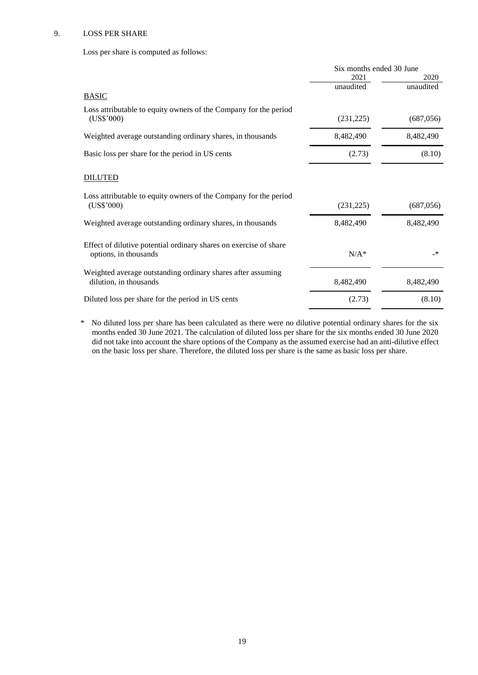## 9. LOSS PER SHARE

Loss per share is computed as follows:

|                                                                                            | Six months ended 30 June |              |
|--------------------------------------------------------------------------------------------|--------------------------|--------------|
|                                                                                            | 2021                     | 2020         |
|                                                                                            | unaudited                | unaudited    |
| <b>BASIC</b>                                                                               |                          |              |
| Loss attributable to equity owners of the Company for the period<br>(US\$'000)             | (231, 225)               | (687,056)    |
| Weighted average outstanding ordinary shares, in thousands                                 | 8,482,490                | 8,482,490    |
| Basic loss per share for the period in US cents                                            | (2.73)                   | (8.10)       |
| <b>DILUTED</b>                                                                             |                          |              |
| Loss attributable to equity owners of the Company for the period<br>(US\$'000)             | (231, 225)               | (687, 056)   |
| Weighted average outstanding ordinary shares, in thousands                                 | 8,482,490                | 8,482,490    |
| Effect of dilutive potential ordinary shares on exercise of share<br>options, in thousands | $N/A^*$                  | $\mathbf{A}$ |
| Weighted average outstanding ordinary shares after assuming<br>dilution, in thousands      | 8,482,490                | 8,482,490    |
| Diluted loss per share for the period in US cents                                          | (2.73)                   | (8.10)       |

\* No diluted loss per share has been calculated as there were no dilutive potential ordinary shares for the six months ended 30 June 2021. The calculation of diluted loss per share for the six months ended 30 June 2020 did not take into account the share options of the Company as the assumed exercise had an anti-dilutive effect on the basic loss per share. Therefore, the diluted loss per share is the same as basic loss per share.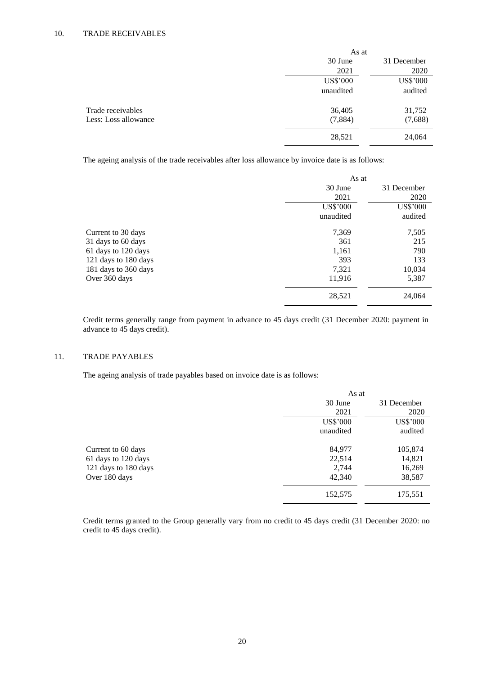|                      | As at           |                 |
|----------------------|-----------------|-----------------|
|                      | 30 June         | 31 December     |
|                      | 2021            | 2020            |
|                      | <b>US\$'000</b> | <b>US\$'000</b> |
|                      | unaudited       | audited         |
| Trade receivables    | 36,405          | 31,752          |
| Less: Loss allowance | (7,884)         | (7,688)         |
|                      | 28,521          | 24,064          |

The ageing analysis of the trade receivables after loss allowance by invoice date is as follows:

|                      | As at           |                 |
|----------------------|-----------------|-----------------|
|                      | 30 June         | 31 December     |
|                      | 2021            | 2020            |
|                      | <b>US\$'000</b> | <b>US\$'000</b> |
|                      | unaudited       | audited         |
| Current to 30 days   | 7,369           | 7,505           |
| 31 days to 60 days   | 361             | 215             |
| 61 days to 120 days  | 1,161           | 790             |
| 121 days to 180 days | 393             | 133             |
| 181 days to 360 days | 7,321           | 10,034          |
| Over 360 days        | 11,916          | 5,387           |
|                      | 28,521          | 24,064          |

Credit terms generally range from payment in advance to 45 days credit (31 December 2020: payment in advance to 45 days credit).

## 11. TRADE PAYABLES

The ageing analysis of trade payables based on invoice date is as follows:

|                      | As at           |                 |
|----------------------|-----------------|-----------------|
|                      | 30 June         | 31 December     |
|                      | 2021            | 2020            |
|                      | <b>US\$'000</b> | <b>US\$'000</b> |
|                      | unaudited       | audited         |
| Current to 60 days   | 84,977          | 105,874         |
| 61 days to 120 days  | 22,514          | 14,821          |
| 121 days to 180 days | 2,744           | 16,269          |
| Over 180 days        | 42,340          | 38,587          |
|                      | 152,575         | 175,551         |

Credit terms granted to the Group generally vary from no credit to 45 days credit (31 December 2020: no credit to 45 days credit).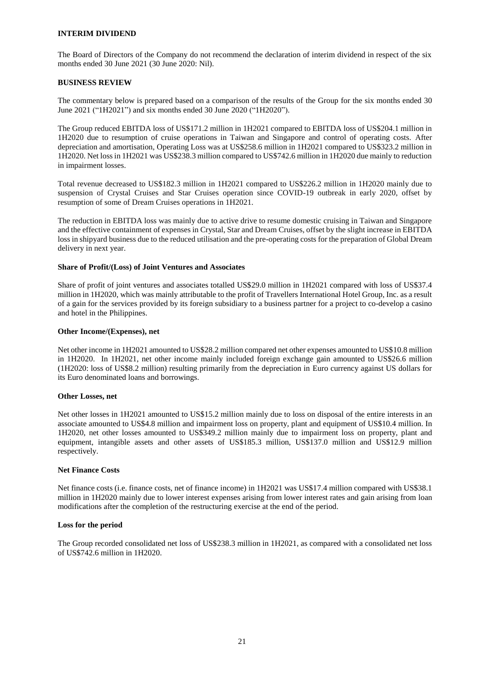## **INTERIM DIVIDEND**

The Board of Directors of the Company do not recommend the declaration of interim dividend in respect of the six months ended 30 June 2021 (30 June 2020: Nil).

### **BUSINESS REVIEW**

The commentary below is prepared based on a comparison of the results of the Group for the six months ended 30 June 2021 ("1H2021") and six months ended 30 June 2020 ("1H2020").

The Group reduced EBITDA loss of US\$171.2 million in 1H2021 compared to EBITDA loss of US\$204.1 million in 1H2020 due to resumption of cruise operations in Taiwan and Singapore and control of operating costs. After depreciation and amortisation, Operating Loss was at US\$258.6 million in 1H2021 compared to US\$323.2 million in 1H2020. Net loss in 1H2021 was US\$238.3 million compared to US\$742.6 million in 1H2020 due mainly to reduction in impairment losses.

Total revenue decreased to US\$182.3 million in 1H2021 compared to US\$226.2 million in 1H2020 mainly due to suspension of Crystal Cruises and Star Cruises operation since COVID-19 outbreak in early 2020, offset by resumption of some of Dream Cruises operations in 1H2021.

The reduction in EBITDA loss was mainly due to active drive to resume domestic cruising in Taiwan and Singapore and the effective containment of expenses in Crystal, Star and Dream Cruises, offset by the slight increase in EBITDA loss in shipyard business due to the reduced utilisation and the pre-operating costs for the preparation of Global Dream delivery in next year.

## **Share of Profit/(Loss) of Joint Ventures and Associates**

Share of profit of joint ventures and associates totalled US\$29.0 million in 1H2021 compared with loss of US\$37.4 million in 1H2020, which was mainly attributable to the profit of Travellers International Hotel Group, Inc. as a result of a gain for the services provided by its foreign subsidiary to a business partner for a project to co-develop a casino and hotel in the Philippines.

## **Other Income/(Expenses), net**

Net other income in 1H2021 amounted to US\$28.2 million compared net other expenses amounted to US\$10.8 million in 1H2020. In 1H2021, net other income mainly included foreign exchange gain amounted to US\$26.6 million (1H2020: loss of US\$8.2 million) resulting primarily from the depreciation in Euro currency against US dollars for its Euro denominated loans and borrowings.

#### **Other Losses, net**

Net other losses in 1H2021 amounted to US\$15.2 million mainly due to loss on disposal of the entire interests in an associate amounted to US\$4.8 million and impairment loss on property, plant and equipment of US\$10.4 million. In 1H2020, net other losses amounted to US\$349.2 million mainly due to impairment loss on property, plant and equipment, intangible assets and other assets of US\$185.3 million, US\$137.0 million and US\$12.9 million respectively.

#### **Net Finance Costs**

Net finance costs (i.e. finance costs, net of finance income) in 1H2021 was US\$17.4 million compared with US\$38.1 million in 1H2020 mainly due to lower interest expenses arising from lower interest rates and gain arising from loan modifications after the completion of the restructuring exercise at the end of the period.

#### **Loss for the period**

The Group recorded consolidated net loss of US\$238.3 million in 1H2021, as compared with a consolidated net loss of US\$742.6 million in 1H2020.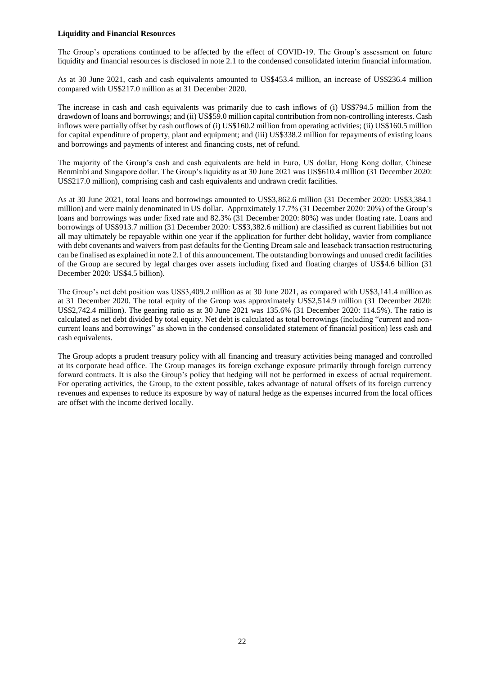### **Liquidity and Financial Resources**

The Group's operations continued to be affected by the effect of COVID-19. The Group's assessment on future liquidity and financial resources is disclosed in note 2.1 to the condensed consolidated interim financial information.

As at 30 June 2021, cash and cash equivalents amounted to US\$453.4 million, an increase of US\$236.4 million compared with US\$217.0 million as at 31 December 2020.

The increase in cash and cash equivalents was primarily due to cash inflows of (i) US\$794.5 million from the drawdown of loans and borrowings; and (ii) US\$59.0 million capital contribution from non-controlling interests. Cash inflows were partially offset by cash outflows of (i) US\$160.2 million from operating activities; (ii) US\$160.5 million for capital expenditure of property, plant and equipment; and (iii) US\$338.2 million for repayments of existing loans and borrowings and payments of interest and financing costs, net of refund.

The majority of the Group's cash and cash equivalents are held in Euro, US dollar, Hong Kong dollar, Chinese Renminbi and Singapore dollar. The Group's liquidity as at 30 June 2021 was US\$610.4 million (31 December 2020: US\$217.0 million), comprising cash and cash equivalents and undrawn credit facilities.

As at 30 June 2021, total loans and borrowings amounted to US\$3,862.6 million (31 December 2020: US\$3,384.1 million) and were mainly denominated in US dollar. Approximately 17.7% (31 December 2020: 20%) of the Group's loans and borrowings was under fixed rate and 82.3% (31 December 2020: 80%) was under floating rate. Loans and borrowings of US\$913.7 million (31 December 2020: US\$3,382.6 million) are classified as current liabilities but not all may ultimately be repayable within one year if the application for further debt holiday, wavier from compliance with debt covenants and waivers from past defaults for the Genting Dream sale and leaseback transaction restructuring can be finalised as explained in note 2.1 of this announcement. The outstanding borrowings and unused credit facilities of the Group are secured by legal charges over assets including fixed and floating charges of US\$4.6 billion (31 December 2020: US\$4.5 billion).

The Group's net debt position was US\$3,409.2 million as at 30 June 2021, as compared with US\$3,141.4 million as at 31 December 2020. The total equity of the Group was approximately US\$2,514.9 million (31 December 2020: US\$2,742.4 million). The gearing ratio as at 30 June 2021 was 135.6% (31 December 2020: 114.5%). The ratio is calculated as net debt divided by total equity. Net debt is calculated as total borrowings (including "current and noncurrent loans and borrowings" as shown in the condensed consolidated statement of financial position) less cash and cash equivalents.

The Group adopts a prudent treasury policy with all financing and treasury activities being managed and controlled at its corporate head office. The Group manages its foreign exchange exposure primarily through foreign currency forward contracts. It is also the Group's policy that hedging will not be performed in excess of actual requirement. For operating activities, the Group, to the extent possible, takes advantage of natural offsets of its foreign currency revenues and expenses to reduce its exposure by way of natural hedge as the expenses incurred from the local offices are offset with the income derived locally.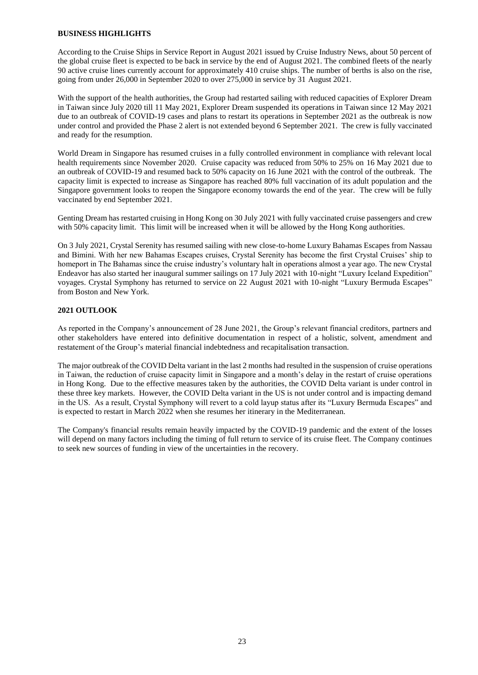## **BUSINESS HIGHLIGHTS**

According to the Cruise Ships in Service Report in August 2021 issued by Cruise Industry News, about 50 percent of the global cruise fleet is expected to be back in service by the end of August 2021. The combined fleets of the nearly 90 active cruise lines currently account for approximately 410 cruise ships. The number of berths is also on the rise, going from under 26,000 in September 2020 to over 275,000 in service by 31 August 2021.

With the support of the health authorities, the Group had restarted sailing with reduced capacities of Explorer Dream in Taiwan since July 2020 till 11 May 2021, Explorer Dream suspended its operations in Taiwan since 12 May 2021 due to an outbreak of COVID-19 cases and plans to restart its operations in September 2021 as the outbreak is now under control and provided the Phase 2 alert is not extended beyond 6 September 2021. The crew is fully vaccinated and ready for the resumption.

World Dream in Singapore has resumed cruises in a fully controlled environment in compliance with relevant local health requirements since November 2020. Cruise capacity was reduced from 50% to 25% on 16 May 2021 due to an outbreak of COVID-19 and resumed back to 50% capacity on 16 June 2021 with the control of the outbreak. The capacity limit is expected to increase as Singapore has reached 80% full vaccination of its adult population and the Singapore government looks to reopen the Singapore economy towards the end of the year. The crew will be fully vaccinated by end September 2021.

Genting Dream has restarted cruising in Hong Kong on 30 July 2021 with fully vaccinated cruise passengers and crew with 50% capacity limit. This limit will be increased when it will be allowed by the Hong Kong authorities.

On 3 July 2021, Crystal Serenity has resumed sailing with new close-to-home Luxury Bahamas Escapes from Nassau and Bimini. With her new Bahamas Escapes cruises, Crystal Serenity has become the first Crystal Cruises' ship to homeport in The Bahamas since the cruise industry's voluntary halt in operations almost a year ago. The new Crystal Endeavor has also started her inaugural summer sailings on 17 July 2021 with 10-night "Luxury Iceland Expedition" voyages. Crystal Symphony has returned to service on 22 August 2021 with 10-night "Luxury Bermuda Escapes" from Boston and New York.

## **2021 OUTLOOK**

As reported in the Company's announcement of 28 June 2021, the Group's relevant financial creditors, partners and other stakeholders have entered into definitive documentation in respect of a holistic, solvent, amendment and restatement of the Group's material financial indebtedness and recapitalisation transaction.

The major outbreak of the COVID Delta variant in the last 2 months had resulted in the suspension of cruise operations in Taiwan, the reduction of cruise capacity limit in Singapore and a month's delay in the restart of cruise operations in Hong Kong. Due to the effective measures taken by the authorities, the COVID Delta variant is under control in these three key markets. However, the COVID Delta variant in the US is not under control and is impacting demand in the US. As a result, Crystal Symphony will revert to a cold layup status after its "Luxury Bermuda Escapes" and is expected to restart in March 2022 when she resumes her itinerary in the Mediterranean.

The Company's financial results remain heavily impacted by the COVID-19 pandemic and the extent of the losses will depend on many factors including the timing of full return to service of its cruise fleet. The Company continues to seek new sources of funding in view of the uncertainties in the recovery.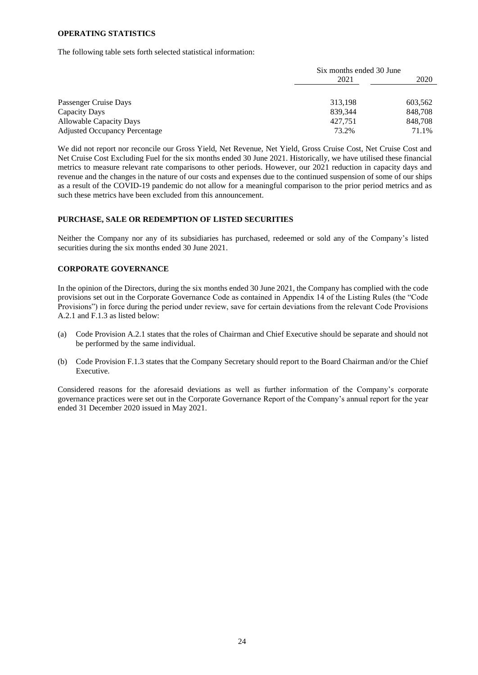#### **OPERATING STATISTICS**

The following table sets forth selected statistical information:

|                                      | Six months ended 30 June |         |
|--------------------------------------|--------------------------|---------|
|                                      | 2021                     | 2020    |
|                                      |                          |         |
| Passenger Cruise Days                | 313,198                  | 603,562 |
| Capacity Days                        | 839,344                  | 848,708 |
| <b>Allowable Capacity Days</b>       | 427.751                  | 848,708 |
| <b>Adjusted Occupancy Percentage</b> | 73.2%                    | 71.1%   |

We did not report nor reconcile our Gross Yield, Net Revenue, Net Yield, Gross Cruise Cost, Net Cruise Cost and Net Cruise Cost Excluding Fuel for the six months ended 30 June 2021. Historically, we have utilised these financial metrics to measure relevant rate comparisons to other periods. However, our 2021 reduction in capacity days and revenue and the changes in the nature of our costs and expenses due to the continued suspension of some of our ships as a result of the COVID-19 pandemic do not allow for a meaningful comparison to the prior period metrics and as such these metrics have been excluded from this announcement.

## **PURCHASE, SALE OR REDEMPTION OF LISTED SECURITIES**

Neither the Company nor any of its subsidiaries has purchased, redeemed or sold any of the Company's listed securities during the six months ended 30 June 2021.

## **CORPORATE GOVERNANCE**

In the opinion of the Directors, during the six months ended 30 June 2021, the Company has complied with the code provisions set out in the Corporate Governance Code as contained in Appendix 14 of the Listing Rules (the "Code Provisions") in force during the period under review, save for certain deviations from the relevant Code Provisions A.2.1 and F.1.3 as listed below:

- (a) Code Provision A.2.1 states that the roles of Chairman and Chief Executive should be separate and should not be performed by the same individual.
- (b) Code Provision F.1.3 states that the Company Secretary should report to the Board Chairman and/or the Chief Executive.

Considered reasons for the aforesaid deviations as well as further information of the Company's corporate governance practices were set out in the Corporate Governance Report of the Company's annual report for the year ended 31 December 2020 issued in May 2021.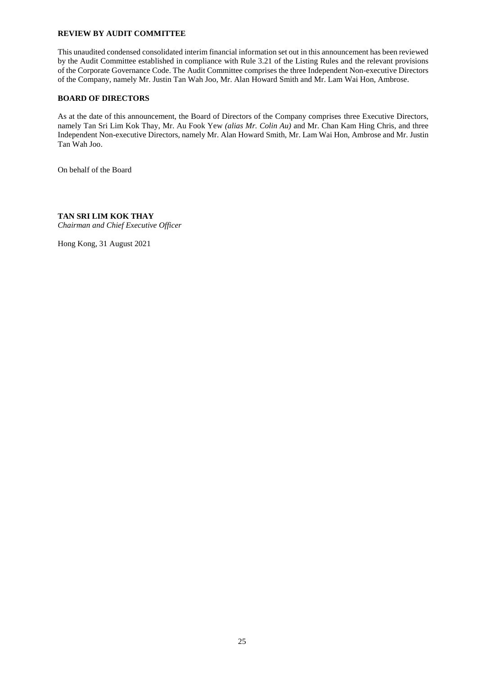## **REVIEW BY AUDIT COMMITTEE**

This unaudited condensed consolidated interim financial information set out in this announcement has been reviewed by the Audit Committee established in compliance with Rule 3.21 of the Listing Rules and the relevant provisions of the Corporate Governance Code. The Audit Committee comprises the three Independent Non-executive Directors of the Company, namely Mr. Justin Tan Wah Joo, Mr. Alan Howard Smith and Mr. Lam Wai Hon, Ambrose.

## **BOARD OF DIRECTORS**

As at the date of this announcement, the Board of Directors of the Company comprises three Executive Directors, namely Tan Sri Lim Kok Thay, Mr. Au Fook Yew *(alias Mr. Colin Au)* and Mr. Chan Kam Hing Chris, and three Independent Non-executive Directors, namely Mr. Alan Howard Smith, Mr. Lam Wai Hon, Ambrose and Mr. Justin Tan Wah Joo.

On behalf of the Board

**TAN SRI LIM KOK THAY** *Chairman and Chief Executive Officer*

Hong Kong, 31 August 2021